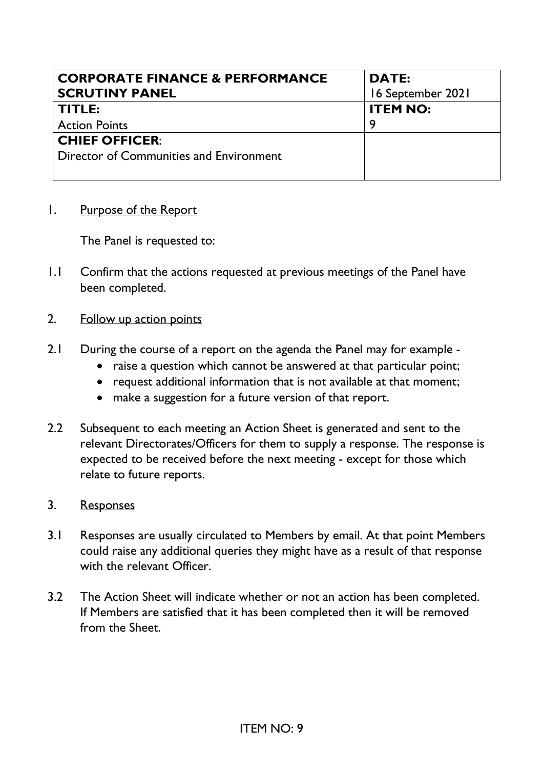| <b>CORPORATE FINANCE &amp; PERFORMANCE</b> | DATE:             |
|--------------------------------------------|-------------------|
| <b>SCRUTINY PANEL</b>                      | 16 September 2021 |
| TITLE:                                     | <b>ITEM NO:</b>   |
| <b>Action Points</b>                       | 9                 |
| <b>CHIEF OFFICER:</b>                      |                   |
| Director of Communities and Environment    |                   |
|                                            |                   |

1. Purpose of the Report

The Panel is requested to:

- 1.1 Confirm that the actions requested at previous meetings of the Panel have been completed.
- 2. Follow up action points
- 2.1 During the course of a report on the agenda the Panel may for example
	- raise a question which cannot be answered at that particular point;
	- request additional information that is not available at that moment;
	- make a suggestion for a future version of that report.
- 2.2 Subsequent to each meeting an Action Sheet is generated and sent to the relevant Directorates/Officers for them to supply a response. The response is expected to be received before the next meeting - except for those which relate to future reports.
- 3. Responses
- 3.1 Responses are usually circulated to Members by email. At that point Members could raise any additional queries they might have as a result of that response with the relevant Officer.
- 3.2 The Action Sheet will indicate whether or not an action has been completed. If Members are satisfied that it has been completed then it will be removed from the Sheet.